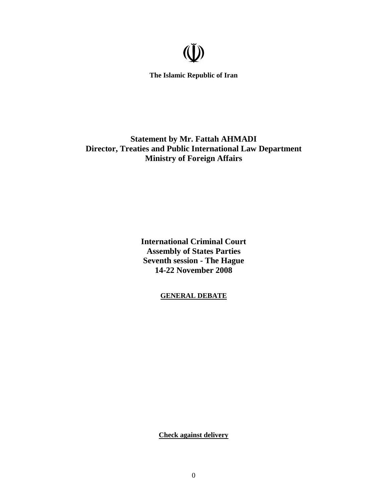

**The Islamic Republic of Iran** 

# **Statement by Mr. Fattah AHMADI Director, Treaties and Public International Law Department Ministry of Foreign Affairs**

**International Criminal Court Assembly of States Parties Seventh session - The Hague 14-22 November 2008** 

**GENERAL DEBATE**

**Check against delivery**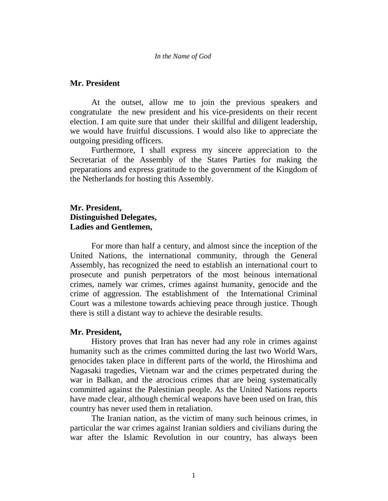### **Mr. President**

At the outset, allow me to join the previous speakers and congratulate the new president and his vice-presidents on their recent election. I am quite sure that under their skillful and diligent leadership, we would have fruitful discussions. I would also like to appreciate the outgoing presiding officers.

Furthermore, I shall express my sincere appreciation to the Secretariat of the Assembly of the States Parties for making the preparations and express gratitude to the government of the Kingdom of the Netherlands for hosting this Assembly.

## **Mr. President, Distinguished Delegates, Ladies and Gentlemen,**

For more than half a century, and almost since the inception of the United Nations, the international community, through the General Assembly, has recognized the need to establish an international court to prosecute and punish perpetrators of the most heinous international crimes, namely war crimes, crimes against humanity, genocide and the crime of aggression. The establishment of the International Criminal Court was a milestone towards achieving peace through justice. Though there is still a distant way to achieve the desirable results.

#### **Mr. President,**

History proves that Iran has never had any role in crimes against humanity such as the crimes committed during the last two World Wars, genocides taken place in different parts of the world, the Hiroshima and Nagasaki tragedies, Vietnam war and the crimes perpetrated during the war in Balkan, and the atrocious crimes that are being systematically committed against the Palestinian people. As the United Nations reports have made clear, although chemical weapons have been used on Iran, this country has never used them in retaliation.

The Iranian nation, as the victim of many such heinous crimes, in particular the war crimes against Iranian soldiers and civilians during the war after the Islamic Revolution in our country, has always been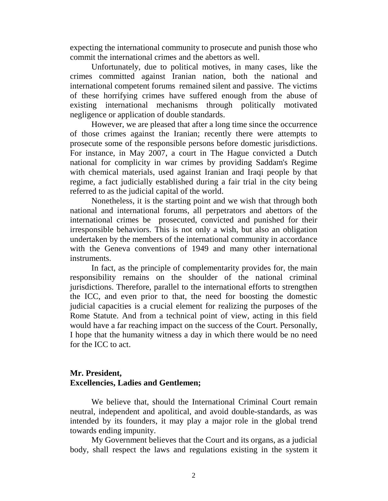expecting the international community to prosecute and punish those who commit the international crimes and the abettors as well.

Unfortunately, due to political motives, in many cases, like the crimes committed against Iranian nation, both the national and international competent forums remained silent and passive. The victims of these horrifying crimes have suffered enough from the abuse of existing international mechanisms through politically motivated negligence or application of double standards.

However, we are pleased that after a long time since the occurrence of those crimes against the Iranian; recently there were attempts to prosecute some of the responsible persons before domestic jurisdictions. For instance, in May 2007, a court in The Hague convicted a Dutch national for complicity in war crimes by providing Saddam's Regime with chemical materials, used against Iranian and Iraqi people by that regime, a fact judicially established during a fair trial in the city being referred to as the judicial capital of the world.

Nonetheless, it is the starting point and we wish that through both national and international forums, all perpetrators and abettors of the international crimes be prosecuted, convicted and punished for their irresponsible behaviors. This is not only a wish, but also an obligation undertaken by the members of the international community in accordance with the Geneva conventions of 1949 and many other international instruments.

In fact, as the principle of complementarity provides for, the main responsibility remains on the shoulder of the national criminal jurisdictions. Therefore, parallel to the international efforts to strengthen the ICC, and even prior to that, the need for boosting the domestic judicial capacities is a crucial element for realizing the purposes of the Rome Statute. And from a technical point of view, acting in this field would have a far reaching impact on the success of the Court. Personally, I hope that the humanity witness a day in which there would be no need for the ICC to act.

# **Mr. President, Excellencies, Ladies and Gentlemen;**

We believe that, should the International Criminal Court remain neutral, independent and apolitical, and avoid double-standards, as was intended by its founders, it may play a major role in the global trend towards ending impunity.

My Government believes that the Court and its organs, as a judicial body, shall respect the laws and regulations existing in the system it